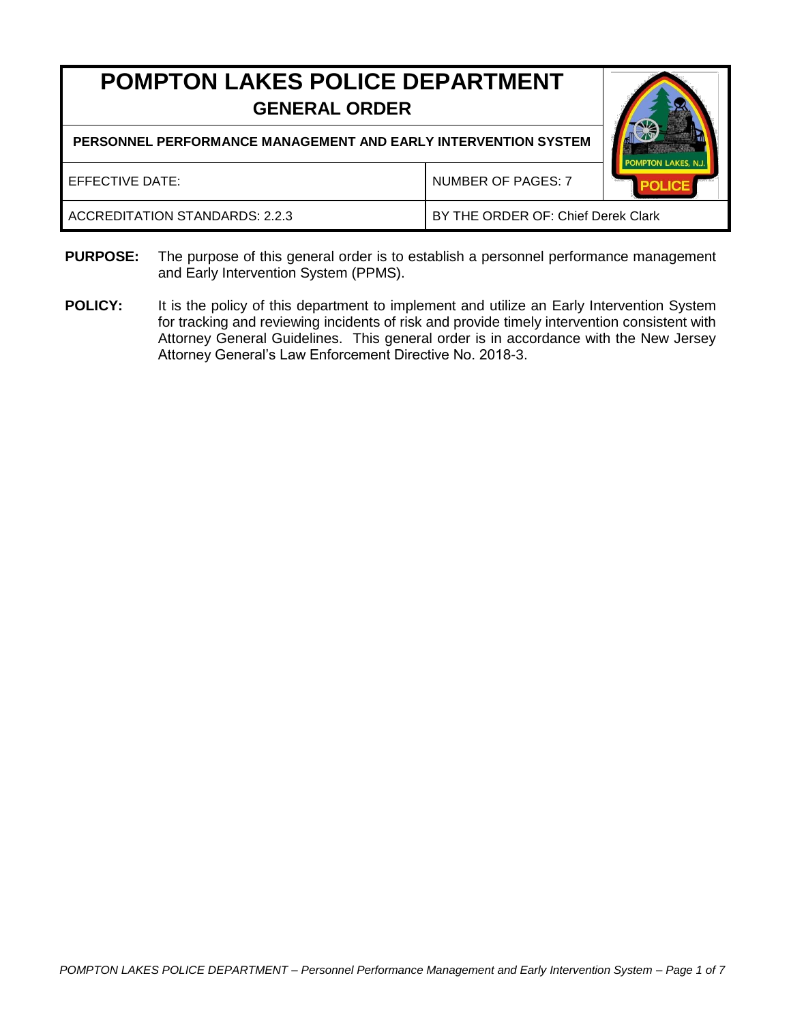# **POMPTON LAKES POLICE DEPARTMENT GENERAL ORDER**

**PERSONNEL PERFORMANCE MANAGEMENT AND EARLY INTERVENTION SYSTEM**

| EFFECTIVE DATE:                | <b>NUMBER OF PAGES: 7</b>          | POMPTON LAKES, N.J. |
|--------------------------------|------------------------------------|---------------------|
| ACCREDITATION STANDARDS: 2.2.3 | BY THE ORDER OF: Chief Derek Clark |                     |

- **PURPOSE:** The purpose of this general order is to establish a personnel performance management and Early Intervention System (PPMS).
- **POLICY:** It is the policy of this department to implement and utilize an Early Intervention System for tracking and reviewing incidents of risk and provide timely intervention consistent with Attorney General Guidelines. This general order is in accordance with the New Jersey Attorney General's Law Enforcement Directive No. 2018-3.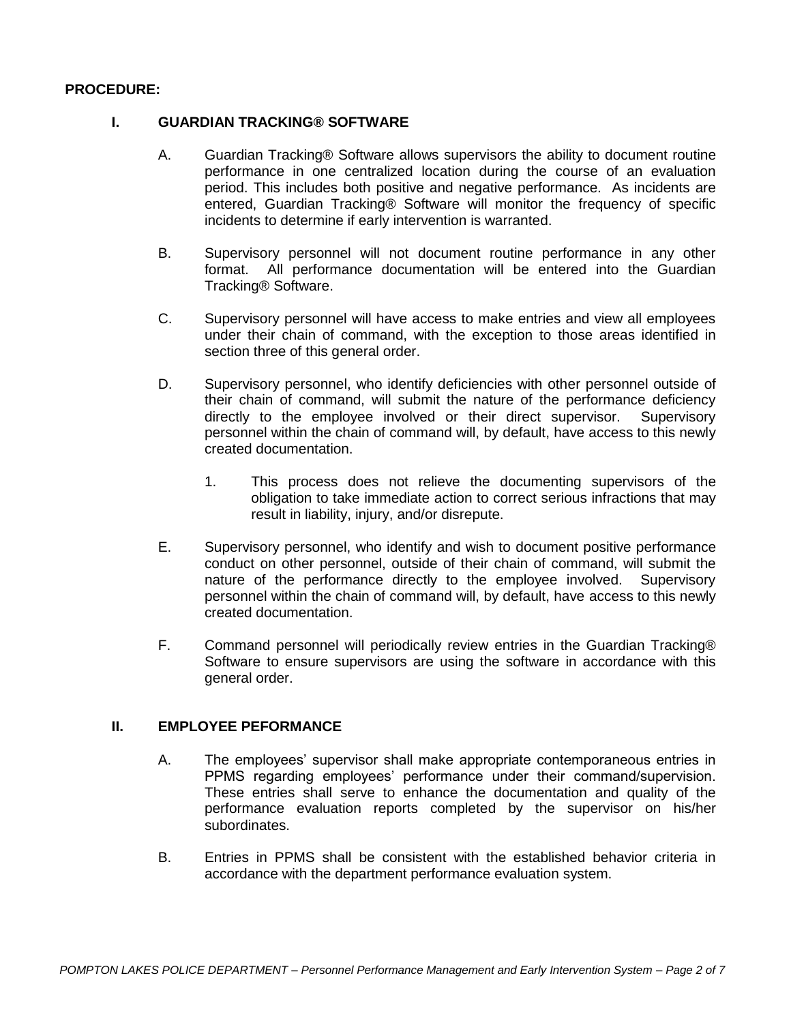## **PROCEDURE:**

#### **I. GUARDIAN TRACKING® SOFTWARE**

- A. Guardian Tracking® Software allows supervisors the ability to document routine performance in one centralized location during the course of an evaluation period. This includes both positive and negative performance. As incidents are entered, Guardian Tracking® Software will monitor the frequency of specific incidents to determine if early intervention is warranted.
- B. Supervisory personnel will not document routine performance in any other format. All performance documentation will be entered into the Guardian Tracking® Software.
- C. Supervisory personnel will have access to make entries and view all employees under their chain of command, with the exception to those areas identified in section three of this general order.
- D. Supervisory personnel, who identify deficiencies with other personnel outside of their chain of command, will submit the nature of the performance deficiency directly to the employee involved or their direct supervisor. Supervisory personnel within the chain of command will, by default, have access to this newly created documentation.
	- 1. This process does not relieve the documenting supervisors of the obligation to take immediate action to correct serious infractions that may result in liability, injury, and/or disrepute.
- E. Supervisory personnel, who identify and wish to document positive performance conduct on other personnel, outside of their chain of command, will submit the nature of the performance directly to the employee involved. Supervisory personnel within the chain of command will, by default, have access to this newly created documentation.
- F. Command personnel will periodically review entries in the Guardian Tracking® Software to ensure supervisors are using the software in accordance with this general order.

### **II. EMPLOYEE PEFORMANCE**

- A. The employees' supervisor shall make appropriate contemporaneous entries in PPMS regarding employees' performance under their command/supervision. These entries shall serve to enhance the documentation and quality of the performance evaluation reports completed by the supervisor on his/her subordinates.
- B. Entries in PPMS shall be consistent with the established behavior criteria in accordance with the department performance evaluation system.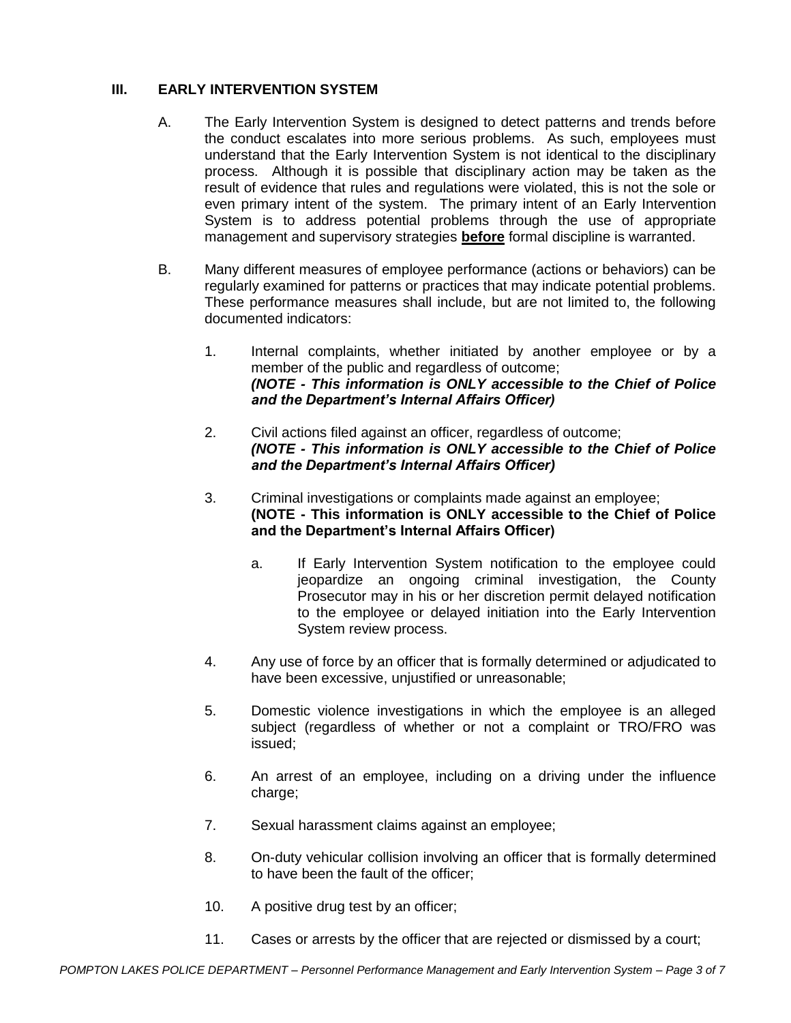# **III. EARLY INTERVENTION SYSTEM**

- A. The Early Intervention System is designed to detect patterns and trends before the conduct escalates into more serious problems. As such, employees must understand that the Early Intervention System is not identical to the disciplinary process. Although it is possible that disciplinary action may be taken as the result of evidence that rules and regulations were violated, this is not the sole or even primary intent of the system. The primary intent of an Early Intervention System is to address potential problems through the use of appropriate management and supervisory strategies **before** formal discipline is warranted.
- B. Many different measures of employee performance (actions or behaviors) can be regularly examined for patterns or practices that may indicate potential problems. These performance measures shall include, but are not limited to, the following documented indicators:
	- 1. Internal complaints, whether initiated by another employee or by a member of the public and regardless of outcome; *(NOTE - This information is ONLY accessible to the Chief of Police and the Department's Internal Affairs Officer)*
	- 2. Civil actions filed against an officer, regardless of outcome; *(NOTE - This information is ONLY accessible to the Chief of Police and the Department's Internal Affairs Officer)*
	- 3. Criminal investigations or complaints made against an employee; **(NOTE - This information is ONLY accessible to the Chief of Police and the Department's Internal Affairs Officer)** 
		- a. If Early Intervention System notification to the employee could jeopardize an ongoing criminal investigation, the County Prosecutor may in his or her discretion permit delayed notification to the employee or delayed initiation into the Early Intervention System review process.
	- 4. Any use of force by an officer that is formally determined or adjudicated to have been excessive, unjustified or unreasonable;
	- 5. Domestic violence investigations in which the employee is an alleged subject (regardless of whether or not a complaint or TRO/FRO was issued;
	- 6. An arrest of an employee, including on a driving under the influence charge;
	- 7. Sexual harassment claims against an employee;
	- 8. On-duty vehicular collision involving an officer that is formally determined to have been the fault of the officer;
	- 10. A positive drug test by an officer;
	- 11. Cases or arrests by the officer that are rejected or dismissed by a court;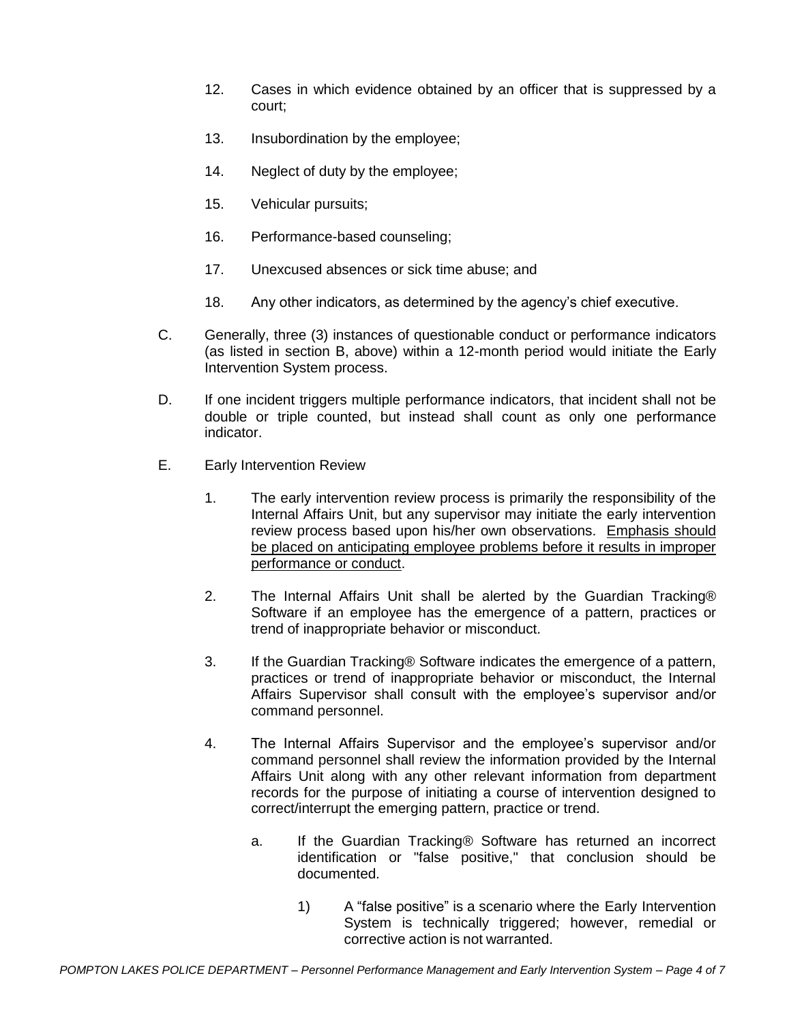- 12. Cases in which evidence obtained by an officer that is suppressed by a court;
- 13. Insubordination by the employee;
- 14. Neglect of duty by the employee;
- 15. Vehicular pursuits;
- 16. Performance-based counseling;
- 17. Unexcused absences or sick time abuse; and
- 18. Any other indicators, as determined by the agency's chief executive.
- C. Generally, three (3) instances of questionable conduct or performance indicators (as listed in section B, above) within a 12-month period would initiate the Early Intervention System process.
- D. If one incident triggers multiple performance indicators, that incident shall not be double or triple counted, but instead shall count as only one performance indicator.
- E. Early Intervention Review
	- 1. The early intervention review process is primarily the responsibility of the Internal Affairs Unit, but any supervisor may initiate the early intervention review process based upon his/her own observations. Emphasis should be placed on anticipating employee problems before it results in improper performance or conduct.
	- 2. The Internal Affairs Unit shall be alerted by the Guardian Tracking® Software if an employee has the emergence of a pattern, practices or trend of inappropriate behavior or misconduct.
	- 3. If the Guardian Tracking® Software indicates the emergence of a pattern, practices or trend of inappropriate behavior or misconduct, the Internal Affairs Supervisor shall consult with the employee's supervisor and/or command personnel.
	- 4. The Internal Affairs Supervisor and the employee's supervisor and/or command personnel shall review the information provided by the Internal Affairs Unit along with any other relevant information from department records for the purpose of initiating a course of intervention designed to correct/interrupt the emerging pattern, practice or trend.
		- a. If the Guardian Tracking® Software has returned an incorrect identification or "false positive," that conclusion should be documented.
			- 1) A "false positive" is a scenario where the Early Intervention System is technically triggered; however, remedial or corrective action is not warranted.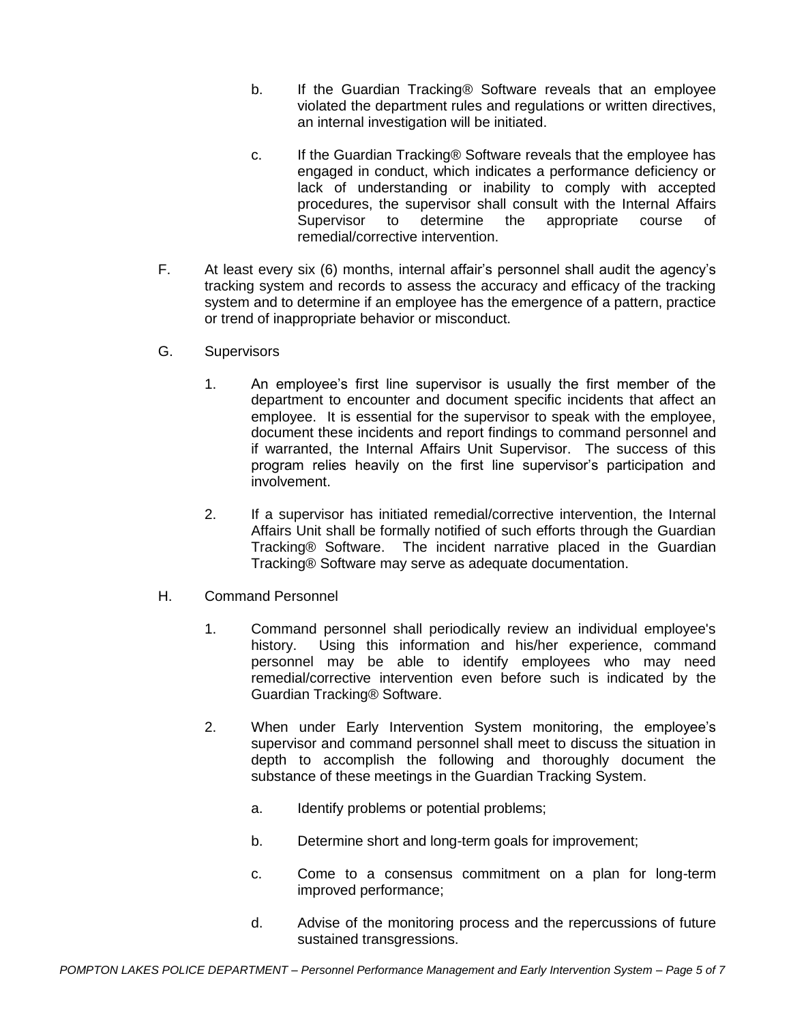- b. If the Guardian Tracking® Software reveals that an employee violated the department rules and regulations or written directives, an internal investigation will be initiated.
- c. If the Guardian Tracking® Software reveals that the employee has engaged in conduct, which indicates a performance deficiency or lack of understanding or inability to comply with accepted procedures, the supervisor shall consult with the Internal Affairs Supervisor to determine the appropriate course of remedial/corrective intervention.
- F. At least every six (6) months, internal affair's personnel shall audit the agency's tracking system and records to assess the accuracy and efficacy of the tracking system and to determine if an employee has the emergence of a pattern, practice or trend of inappropriate behavior or misconduct.
- G. Supervisors
	- 1. An employee's first line supervisor is usually the first member of the department to encounter and document specific incidents that affect an employee. It is essential for the supervisor to speak with the employee, document these incidents and report findings to command personnel and if warranted, the Internal Affairs Unit Supervisor. The success of this program relies heavily on the first line supervisor's participation and involvement.
	- 2. If a supervisor has initiated remedial/corrective intervention, the Internal Affairs Unit shall be formally notified of such efforts through the Guardian Tracking® Software. The incident narrative placed in the Guardian Tracking® Software may serve as adequate documentation.
- H. Command Personnel
	- 1. Command personnel shall periodically review an individual employee's history. Using this information and his/her experience, command personnel may be able to identify employees who may need remedial/corrective intervention even before such is indicated by the Guardian Tracking® Software.
	- 2. When under Early Intervention System monitoring, the employee's supervisor and command personnel shall meet to discuss the situation in depth to accomplish the following and thoroughly document the substance of these meetings in the Guardian Tracking System.
		- a. Identify problems or potential problems;
		- b. Determine short and long-term goals for improvement;
		- c. Come to a consensus commitment on a plan for long-term improved performance;
		- d. Advise of the monitoring process and the repercussions of future sustained transgressions.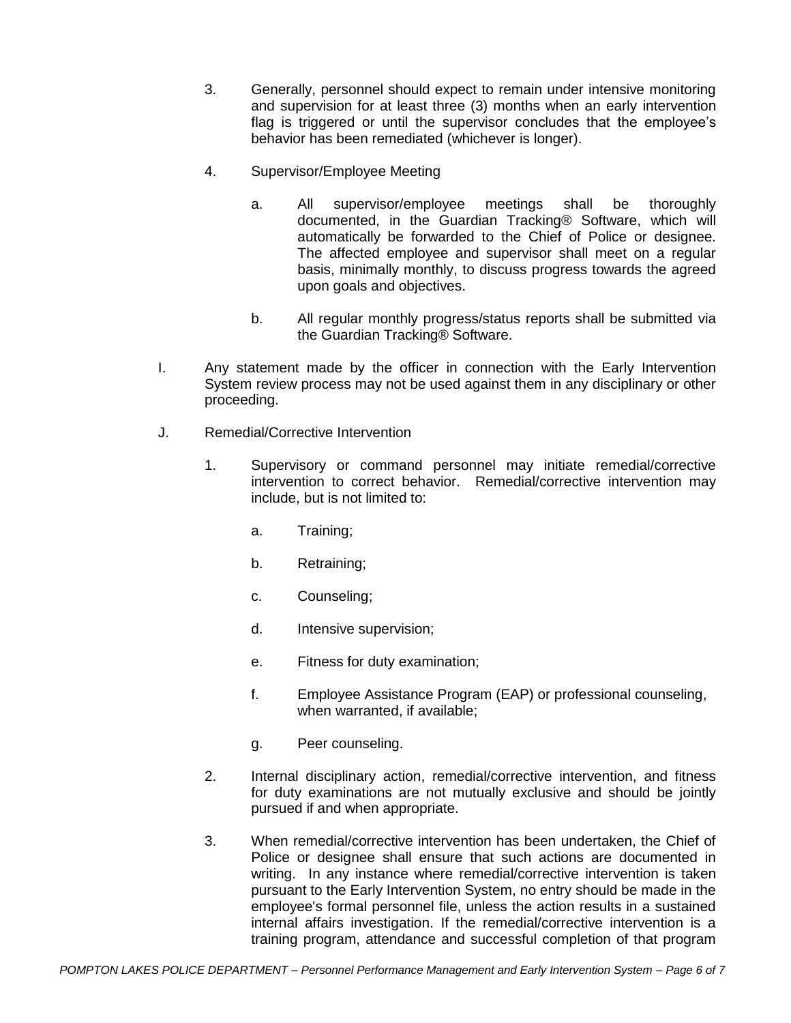- 3. Generally, personnel should expect to remain under intensive monitoring and supervision for at least three (3) months when an early intervention flag is triggered or until the supervisor concludes that the employee's behavior has been remediated (whichever is longer).
- 4. Supervisor/Employee Meeting
	- a. All supervisor/employee meetings shall be thoroughly documented, in the Guardian Tracking® Software, which will automatically be forwarded to the Chief of Police or designee. The affected employee and supervisor shall meet on a regular basis, minimally monthly, to discuss progress towards the agreed upon goals and objectives.
	- b. All regular monthly progress/status reports shall be submitted via the Guardian Tracking® Software.
- I. Any statement made by the officer in connection with the Early Intervention System review process may not be used against them in any disciplinary or other proceeding.
- J. Remedial/Corrective Intervention
	- 1. Supervisory or command personnel may initiate remedial/corrective intervention to correct behavior. Remedial/corrective intervention may include, but is not limited to:
		- a. Training;
		- b. Retraining;
		- c. Counseling;
		- d. Intensive supervision;
		- e. Fitness for duty examination;
		- f. Employee Assistance Program (EAP) or professional counseling, when warranted, if available;
		- g. Peer counseling.
	- 2. Internal disciplinary action, remedial/corrective intervention, and fitness for duty examinations are not mutually exclusive and should be jointly pursued if and when appropriate.
	- 3. When remedial/corrective intervention has been undertaken, the Chief of Police or designee shall ensure that such actions are documented in writing. In any instance where remedial/corrective intervention is taken pursuant to the Early Intervention System, no entry should be made in the employee's formal personnel file, unless the action results in a sustained internal affairs investigation. If the remedial/corrective intervention is a training program, attendance and successful completion of that program